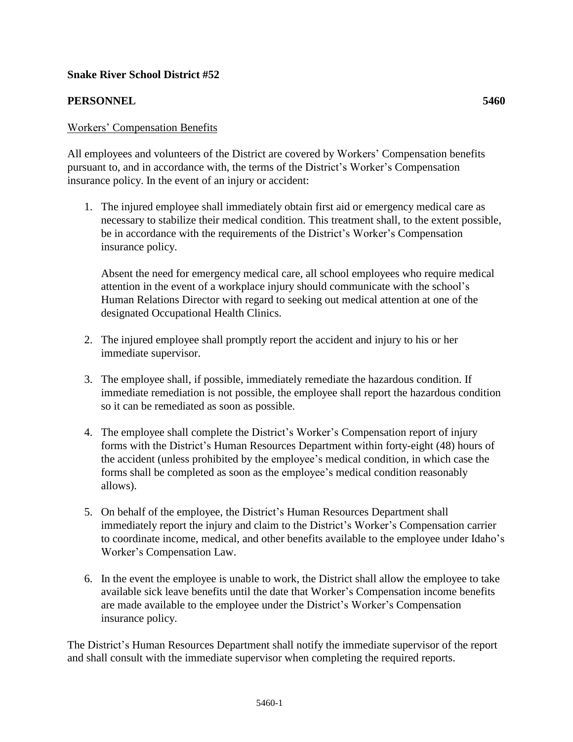## **Snake River School District #52**

## **PERSONNEL 5460**

All employees and volunteers of the District are covered by Workers' Compensation benefits pursuant to, and in accordance with, the terms of the District's Worker's Compensation insurance policy. In the event of an injury or accident:

1. The injured employee shall immediately obtain first aid or emergency medical care as necessary to stabilize their medical condition. This treatment shall, to the extent possible, be in accordance with the requirements of the District's Worker's Compensation insurance policy.

Absent the need for emergency medical care, all school employees who require medical attention in the event of a workplace injury should communicate with the school's Human Relations Director with regard to seeking out medical attention at one of the designated Occupational Health Clinics.

- 2. The injured employee shall promptly report the accident and injury to his or her immediate supervisor.
- 3. The employee shall, if possible, immediately remediate the hazardous condition. If immediate remediation is not possible, the employee shall report the hazardous condition so it can be remediated as soon as possible.
- 4. The employee shall complete the District's Worker's Compensation report of injury forms with the District's Human Resources Department within forty-eight (48) hours of the accident (unless prohibited by the employee's medical condition, in which case the forms shall be completed as soon as the employee's medical condition reasonably allows).
- 5. On behalf of the employee, the District's Human Resources Department shall immediately report the injury and claim to the District's Worker's Compensation carrier to coordinate income, medical, and other benefits available to the employee under Idaho's Worker's Compensation Law.
- 6. In the event the employee is unable to work, the District shall allow the employee to take available sick leave benefits until the date that Worker's Compensation income benefits are made available to the employee under the District's Worker's Compensation insurance policy.

The District's Human Resources Department shall notify the immediate supervisor of the report and shall consult with the immediate supervisor when completing the required reports.